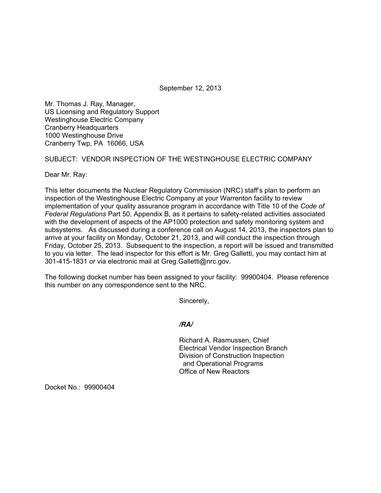September 12, 2013

Mr. Thomas J. Ray, Manager, US Licensing and Regulatory Support Westinghouse Electric Company Cranberry Headquarters 1000 Westinghouse Drive Cranberry Twp, PA 16066, USA

## SUBJECT: VENDOR INSPECTION OF THE WESTINGHOUSE ELECTRIC COMPANY

Dear Mr. Ray:

This letter documents the Nuclear Regulatory Commission (NRC) staff's plan to perform an inspection of the Westinghouse Electric Company at your Warrenton facility to review implementation of your quality assurance program in accordance with Title 10 of the *Code of Federal Regulations* Part 50, Appendix B, as it pertains to safety-related activities associated with the development of aspects of the AP1000 protection and safety monitoring system and subsystems. As discussed during a conference call on August 14, 2013, the inspectors plan to arrive at your facility on Monday, October 21, 2013, and will conduct the inspection through Friday, October 25, 2013. Subsequent to the inspection, a report will be issued and transmitted to you via letter. The lead inspector for this effort is Mr. Greg Galletti, you may contact him at 301-415-1831 or via electronic mail at Greg.Galletti@nrc.gov.

The following docket number has been assigned to your facility: 99900404. Please reference this number on any correspondence sent to the NRC.

Sincerely,

## */RA/*

Richard A. Rasmussen, Chief Electrical Vendor Inspection Branch Division of Construction Inspection and Operational Programs Office of New Reactors

Docket No.: 99900404